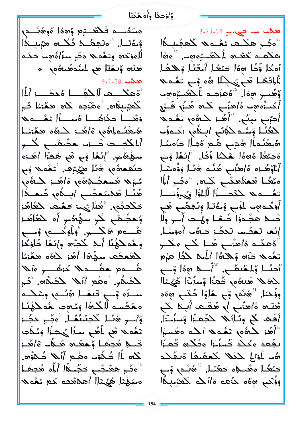وَٰٰٰ اوۡہ کُلاَتَا

مَمَّمُـــــه ثَــٰهَــــْبَع وَّههُ/ هَوهُنَـــم وَّحَاسًا. "دَعِكَـــِمْ ثَكْـــرَه هَبُـبِــٰهَا لْلُوزْنَدُهِ وَتَعْوَيْهُ وَجُمْ مِثْلُؤُهِمَا حَكُمْ هْلُه وُسَعْلَا هُمْ مُلَّدُهُ مَلَّا \* وَ مَلَّامًا \* \*  $9.1.38$   $\Delta$ أَهْهَكْــــــــه لْمَــكُـــــــــــــ أَلَمُّلَــــــــــــــ أَلَمُّلَـــــــــــــــــــــــــــ كُعبُرْمِبْدُهِ. وَهَّزْجِمْ كُلُهِ هَمَّزْمًا كَبِر وَقَعَا حَذَرَهُا وَمِسْأَلَا تَمُّدُو المُعْلَمِلِهُم وَاهَد كَمَن هُمْ: الْمَسْرَدُ أبالمُحب و شَــز مجَّـمَّــــم كُــــر مَدَوُّهُ مِنْ أَيْتُمَا ۚ وَبِي هُي هُجْرًا أَهَدَه تَكْفِعْدُهِ وَاللَّهُ مِنْ يَقِيدُ أَسْفُمَكُ فَهِمْ وَمِنْ ئَبْلا هُسْمِجُلّْهِ، ٱلْهَـٰزِ لَمْـُوْمِ هُنُـا هَجَمُعجَـــم ابِـٰكُمْ شَعَـٰدًا حَكْحَجُم، ۚ مُمَلَّا يَ مِنَ الْمَهُ، وَهُكُمْ: ۆھجَىعًى كُبر مىھُ7ەس أە لاھَاھُ: هُـــوم هَ يَـــبِ ۚ وَلَمِهُــو ﴾ وَ ـــبِ وِهُوحِكُمُا أَحِمْ كُحِبْرَهِ وَإِنَّعُا خَاوَيْحَا لمقعصُّص سؤَرْةَ أَهُدَ لِهُ هُمَّرْنَا لْكَمِّنكُمْبِ. <sup>0</sup>0هُمْ أَ*آيَا لَكَمِّ*نَكُمْ». <sup>8</sup>كَبِ مسأه وْسِي قْتَهْلُ هُنَّــهِ وِمْكَــه مَعْصُدِهِ لَلْكُلُّهُ وَحُدِهِ هُوَحَكِيْنَا وَّاسِبِ هُنُـا ۖ كَجِنْبُغُـاْ. ۚ هَجُـبِ حَجَّـ; تَعْدَلا ثُم نُأْثُم مثْلُ يُحِبُّوا وَسُلَّابِ تْصِبْ هُجِعْا وُحِعْدِهِ هُنِكُم وْأَهْبَ لَكُلُّهِ ﴾ أَا خُلُوفٍ وهُـع أَأَلمَهُ خُلِمْؤُو. أَهجِّ هِمُبِجَّى حَجَّىٰدًا أَلَمْهِ مُجِعْدًا لَهَمْهُمْ الْمَسْتَقَادِ مَمْهُمْ هَيْمَالَ أَهْلَاَقُدِهِ لَامِ يَهُومُ

محكم مد حي.م 8.23.34 أَهْجَمِ هَكْتُ تَغْسَمْهُ كَمْعَقِّبِنَدًا هكْصد كْعْدُه لْمُحْمَّدِهِ مِنْ أَهْدَا أُهكُل وِّخُل هِهُا حَكْفُل أَمكُنُل وْحِكْجُلْ مُكْتُمًا مِنْ الْكُرِيْرِ مَنْ الْكُرْمَةِ مِنْ السَّامَةِ مِنْ السَّامَةِ مِنْ السَّامَةِ مِنْ الس وَهُمبر هِهُا. تَهْمَنُوے لَمُكْسَبُوهِ أَكْسَنُوهِ وَأَهْدَّمِ لَكُنَّهُ هُــَمَّ فَــَيْ أُجَبْبِ مِبْبٍ. ۚ أَكْفَ ذَلَقُهِ دَهُم مَعْدِمَة لْحَفُنُـا وُمُنَـٰهَ لَكُفُبُمْ ابْنَفُو انْقَـٰهَوُت هَٰىعُنُـٰم}ا هُـثبِ هُـٰع هَٰحـاًا حَنُّمـُـا ەَجىّعْلا ەْھەل ھىشلا ۆُخُل <sup>27</sup>اِئى**غ**ا ۋىس ٱللَّهِۖ هَٰذَاهَ ۚ وَاهْتُمْ ۖ هَٰلُكُمْ وَوَّْدَهُمْ ۖ } مَعْدًا شَعَذُهِدَمَ لَا دَهِ. "دَجَ أَبْلًا أُوْكُــدوما لْأَوْبِ وُّـدُنْـل وِنُـعِمَّـبٍ شَي ضَّـٰهِ عَجَّـٰءوۡۤا ضُـُمَّـا وٖیُّـٰدِ )ُّــٰـِر وَٱل إِنُم تَعَصِّىنَ تَحَصَّرْ حَادُبٌ أُدْفِئُنَا. <sup>23</sup>هَكَــه هُ/هزَّمــم هُـــا كَـــم هكــبر<br>مَعْه من حَرْوه وَجَلاَوا إِلَهَــمَ حَجَّا هزم أجسًا وَلِمَعْكَبِ. ٱلْسَجْ هِهُ! وَسَبِ لَكُمَلاً مُعْتَدُهُ وَهُوَا وَمُسَرِّرًا هَيُمَالِ وَوُّحْلَ أَرْهُنُو ۚ وَمِنْ الْمَلَاءِ الْمُحْمَى وَيَوْهِ مِنْ  $\frac{1}{2}$ هْلَـهِ هُ/هزُبٌ ﴾ هُـفَـع أَبْ\$ كُمْ أَفْعِد كُمْ وَتَسْأَلُكُمْ كَجُعَةُ! وَمِيزَمِنْهِ!. أَهُدَ كَمُّومٍ يَمُّدَيَّا آلَكُمْ وَهْسَبُرَا $\mathcal{S}^3$ بِفَعِمِ مَكْنُمْ ضَبِّئْتَ وَجُكْلُ خَعِبُر رَّهُ - أَوْرَٰلِ لِلْعُلَا لِكُمِعَْتِهِ ۖ أَوْرَٰلِ لِلْعَلَامِ حَكْمًا مَعْمَدِهِ حَعَمًا. ''هُنُم فِي وَوُكِمٍ وَوَهِ حَزَمِهِ وَأَأَلَمْهِ كَعَبَّهِ بِكُلًّا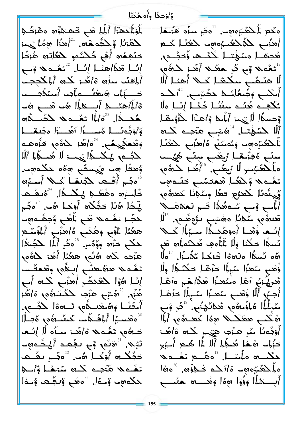وَٰٰٰ اوۡہ کُلاَتَا

لْمَذَاهَبَوْا أَلَمِلْ شَي خُصِكُوْهِ وَهْرَكُكُمْ لْمَعْرَبُا وَمَحْشُمَهُ مِنْ الْمَمَرُّا مِهْمَ يَهْدَ حَنَّفِعُوهِ أُهْمٍ خُلْمُنُومٍ لِلْعُلَالَةِ هُرْخُلَ إِسًا هَجَابُهَمَا إِسًا. يَحْمَد قَبِ أباقسٌ مدرُه 16هُـ: كُـه أبالكَججب حَـــــزِّبِكِ وَمَعْنُــــــــمِلْكِ أَمِينَكِكِــــب ةَالْمَاهَنَّــــــمِ أَبِــــــمَلَمَا هُــ مْـــــــع هُــ هُدِ أَوْلَ الْمُدَارِ وَمُسْدِينٍ وَالْمُسْدَوْدِ وَّاوْجُوسُــا هُمـــأَا أَهُـــأَا وجْبِهْــا بِهْمِنْكِيمٌمٍ. "ةُ/هُذِ لِهِ هُومٍ قَزْهِ هِم الْمُ لِمُمْسِنَةٍ لَمْ يَسْرِرَ الْمُسْكُنِ مِصْبَكَ بَعْدَمُ أَمَنِ مَهْمِينِ مِنْهُمِ مِنْ الْمُدَوَّبِ. أَوْكَبِ أَقْسِكَ لِكَبْلُهُمْ كَمِيلاً أَسْتَرُرُهُ دَّاسِيُرِهِ وهُهَدِ لِمَحْمِدِينَ وَمَقِيمَةٍ لْمَطُ هُنُا حَجُّكُه أَوْحُا هُ۔ ''ەَجْبِ لحجَّة تَعْسَمِيا هَمْ يَأْهُمْ وَجَعَّدَهِمْ هكَمُا لِمُوْمٍ وَهُمْمٍ هُاهِنَّى أَلِمُوَّسُمِ حكَّمٍ حَزْهِ وَوَوَّمِّي ۚ وَهُ لَمَّا كَجُمْلًا هَ مِ عَلاه وَ لَه مِ مَعْدًا أَهُدَ لَهُ مِ تَمُّـمَـلا هَدَهُمْتُمْلِي إِبْلَامِ وَشَعْشَى إِنَّا هُوْا كَعْدَكُمْ أُهِنُّم كُلُّهِ أَبِّ هُنَّرٌ.  $\overset{\circ}{\theta}$ هُ شَمْ هَاجا لِلْكُنكِيُّةُ وَاهَدَ أَمْقَلُنَا وَهُنْفَسَنُّومٍ نَسْوَةًا لَلْجُسُمِ. أَدْهَدَ مِنْ الْمُؤْمَنِ كَمِنْتُ وَهُ مِنْ الْمَسْتَدَارَ مِنْ حَدِقُوبِ تَعْلَمِكُ وَاهُدَ مِعَدُّهِ لَلَّا إِنَّكَ  $\mathfrak{so}^3$  الْبُحْرِ.  $\mathfrak{so}^3$  أَوْسٍ مِعْمَدٍ  $\mathfrak{so}^3$  أَوْسَ حَجُّكُ ۞ أُوْكُــاً ۞ -. ۚ وَكَــبِ بِهَــٰڡ تعُده هُوَجِد كُلُّه مُوَجَّد وَأَسْلِمَ لْمَكُدُومَا فَإِنَّ أَدْمَى وَالْجُنَّانُ وَمَدَّا

 $\lambda$ ەڭم ئالمۇمومەت ئۇس مىلاد قۇيغا أُهنَّبِ لِمَكْلِكَتَنَّةِ وَهِ لَلْحُكُمْ كَتَمْر هُجِعْدا مِمْهُمْدا كُنْدِ وَجَدُور.  $\mathbf{v}$ تَهُه $\boldsymbol{\mu}$  وَّى خَرِ حَقَى $\boldsymbol{\mu}$  أَهُدِ  $\boldsymbol{\mathcal{L}}$ وَّى  $\boldsymbol{\mu}$ لًا هنُـمَّـبِ سكْـعْـا كَـــلا أُهنُـا أَلَّا أَسْلَبِ وِجُنفَائِكِ حَجَّبُنِبٍ. ''أَلَكُمْ عُكْفِــه هُنَــه مىنُــٰا خُـكَــا إِنْــا هِلْا وْجِسِجْلَ لَمْ يُهِمْ أَبِئُكِمْ وْاهِدْا ۖ خَلَقَ حَمْلَ أَلَّا حَسَّوُمًا. "هُنْبٍ عَبْجِـهِ كَدِهِ لْمَعْكَبُوهِ وَثَوْمَنُعُ وَأَهْتُمْ لَحْقُنُا } سَرَبَهُ بِنَبِ بِنَهْنَ الْمُنْهِ هَيْبَ مكَ لَمَعْكُمْ مِنْ الْمُوَسَّى وَالْمَحْدَ لَمْحَدَّةَ مِ تمُّـه\ وُلَكُما مُعْتَسُبِ حَنُـهِڢ وَهُمَا لَمَحْمَدٍ مِمْجَمًا مَعْدَهُ أَبْلَــ وْـــ مُــدهُكُمْ كَـــرِ تَـعَكَفَــلًا هُدهُ مِهْ مِكْمِرًا مَهُمْبِ رَوْهُمِهِ. ٱلْأَ إِنَّـم وُهْـا أُهوَهُدِيًّا مِـبِّيلًا كَــلا سَٰٰهُا حَكْمًا وَلَٰا غُلُوبٌ هَٰٰٓدُوجًا مَنْ مَ هُه سُناً هنها فَالحًا عَلَّبُ! "هَلَّا ؤْهَبِ مُعْزًا مُبِبًّا حَآهَا حَكْــٰهَا وَلَّا هُدِهُنَّ آهَا مُمُعِنًّا هُجَّاهُمْ مَآهَا أُجِبُي ٱلْأُ وُهْبِي مُعْدُرًا مُبْلِمًا حَرْهَـا مَبْرَاْبِاُ الْمَاوَّمْقَى هُدَا كُمْ وَقَالَ الْكُبَرِ وَبِ الْمَالَمِ مِعْكَمًا مِمَّا مُعَدَّدُهُ وَلَمَّا أُوْجُوبُا مَبْرِ هِنَّتِ هِيْجِرٍ كُلُّهِ وَإِهْدَ حَبَّلِ هُـمُّا هُـدِّيا ٱلَّا ۦَٰٓا هُــمِ ٱُــبِّبِ بمكسره هذبك المسار فأسلوا تمسميه  $\int \int \delta \, d^2 \, d^2 \, d^2$ وجُمْهُور مِنْ مِنْ الْمَسْتَمْتِينَ مِنْ مِنْ مِنْ مِنْ مِنْ مِنْ الْمَسْتَمْتِينَ مِنْ مِنْ ا أُبِّ مَا وَذَٰوْا مِيمَا وَهُـَ مِّ مِنْنَـَــــمِّ